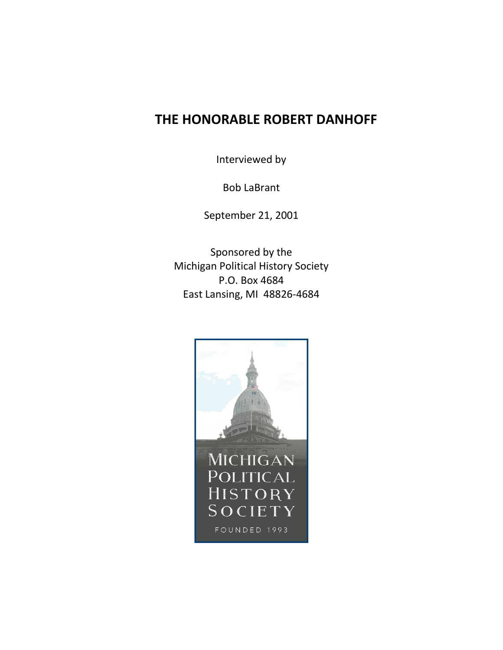## **THE HONORABLE ROBERT DANHOFF**

Interviewed by

Bob LaBrant

September 21, 2001

Sponsored by the Michigan Political History Society P.O. Box 4684 East Lansing, MI 48826-4684

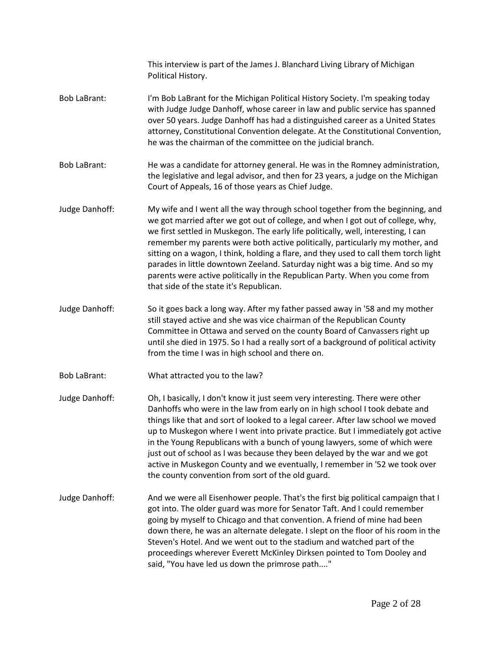This interview is part of the James J. Blanchard Living Library of Michigan Political History. Bob LaBrant: I'm Bob LaBrant for the Michigan Political History Society. I'm speaking today with Judge Judge Danhoff, whose career in law and public service has spanned over 50 years. Judge Danhoff has had a distinguished career as a United States attorney, Constitutional Convention delegate. At the Constitutional Convention, he was the chairman of the committee on the judicial branch. Bob LaBrant: He was a candidate for attorney general. He was in the Romney administration, the legislative and legal advisor, and then for 23 years, a judge on the Michigan Court of Appeals, 16 of those years as Chief Judge. Judge Danhoff: My wife and I went all the way through school together from the beginning, and we got married after we got out of college, and when I got out of college, why, we first settled in Muskegon. The early life politically, well, interesting, I can remember my parents were both active politically, particularly my mother, and sitting on a wagon, I think, holding a flare, and they used to call them torch light parades in little downtown Zeeland. Saturday night was a big time. And so my parents were active politically in the Republican Party. When you come from that side of the state it's Republican. Judge Danhoff: So it goes back a long way. After my father passed away in '58 and my mother still stayed active and she was vice chairman of the Republican County Committee in Ottawa and served on the county Board of Canvassers right up until she died in 1975. So I had a really sort of a background of political activity from the time I was in high school and there on. Bob LaBrant: What attracted you to the law? Judge Danhoff: Oh, I basically, I don't know it just seem very interesting. There were other Danhoffs who were in the law from early on in high school I took debate and things like that and sort of looked to a legal career. After law school we moved up to Muskegon where I went into private practice. But I immediately got active in the Young Republicans with a bunch of young lawyers, some of which were just out of school as I was because they been delayed by the war and we got active in Muskegon County and we eventually, I remember in '52 we took over the county convention from sort of the old guard. Judge Danhoff: And we were all Eisenhower people. That's the first big political campaign that I got into. The older guard was more for Senator Taft. And I could remember going by myself to Chicago and that convention. A friend of mine had been down there, he was an alternate delegate. I slept on the floor of his room in the Steven's Hotel. And we went out to the stadium and watched part of the proceedings wherever Everett McKinley Dirksen pointed to Tom Dooley and said, "You have led us down the primrose path...."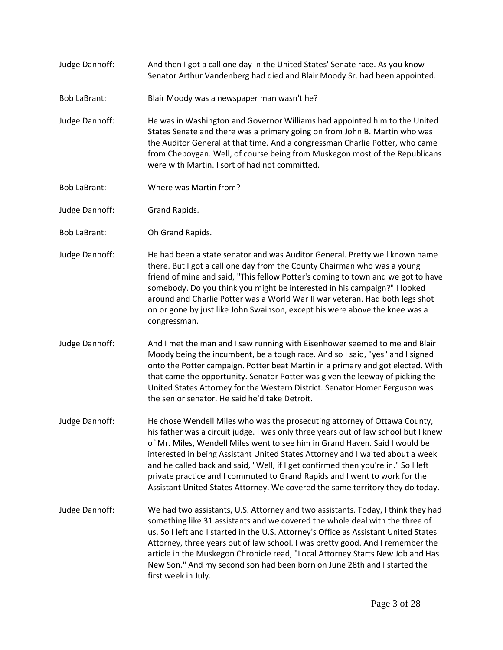- Judge Danhoff: And then I got a call one day in the United States' Senate race. As you know Senator Arthur Vandenberg had died and Blair Moody Sr. had been appointed.
- Bob LaBrant: Blair Moody was a newspaper man wasn't he?
- Judge Danhoff: He was in Washington and Governor Williams had appointed him to the United States Senate and there was a primary going on from John B. Martin who was the Auditor General at that time. And a congressman Charlie Potter, who came from Cheboygan. Well, of course being from Muskegon most of the Republicans were with Martin. I sort of had not committed.
- Bob LaBrant: Where was Martin from?
- Judge Danhoff: Grand Rapids.
- Bob LaBrant: Oh Grand Rapids.
- Judge Danhoff: He had been a state senator and was Auditor General. Pretty well known name there. But I got a call one day from the County Chairman who was a young friend of mine and said, "This fellow Potter's coming to town and we got to have somebody. Do you think you might be interested in his campaign?" I looked around and Charlie Potter was a World War II war veteran. Had both legs shot on or gone by just like John Swainson, except his were above the knee was a congressman.
- Judge Danhoff: And I met the man and I saw running with Eisenhower seemed to me and Blair Moody being the incumbent, be a tough race. And so I said, "yes" and I signed onto the Potter campaign. Potter beat Martin in a primary and got elected. With that came the opportunity. Senator Potter was given the leeway of picking the United States Attorney for the Western District. Senator Homer Ferguson was the senior senator. He said he'd take Detroit.
- Judge Danhoff: He chose Wendell Miles who was the prosecuting attorney of Ottawa County, his father was a circuit judge. I was only three years out of law school but I knew of Mr. Miles, Wendell Miles went to see him in Grand Haven. Said I would be interested in being Assistant United States Attorney and I waited about a week and he called back and said, "Well, if I get confirmed then you're in." So I left private practice and I commuted to Grand Rapids and I went to work for the Assistant United States Attorney. We covered the same territory they do today.
- Judge Danhoff: We had two assistants, U.S. Attorney and two assistants. Today, I think they had something like 31 assistants and we covered the whole deal with the three of us. So I left and I started in the U.S. Attorney's Office as Assistant United States Attorney, three years out of law school. I was pretty good. And I remember the article in the Muskegon Chronicle read, "Local Attorney Starts New Job and Has New Son." And my second son had been born on June 28th and I started the first week in July.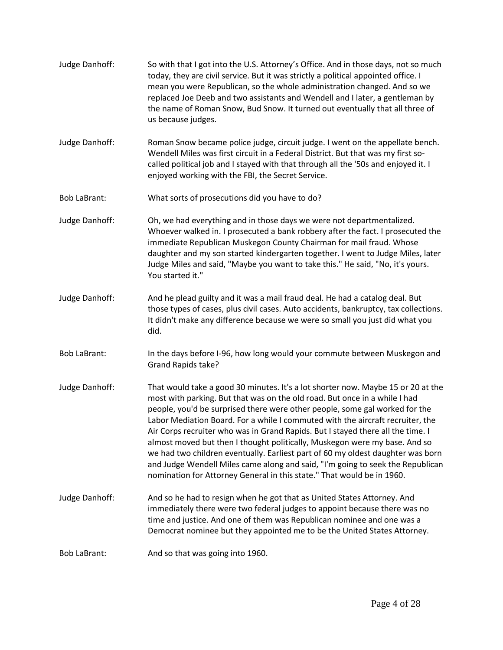Judge Danhoff: So with that I got into the U.S. Attorney's Office. And in those days, not so much today, they are civil service. But it was strictly a political appointed office. I mean you were Republican, so the whole administration changed. And so we replaced Joe Deeb and two assistants and Wendell and I later, a gentleman by the name of Roman Snow, Bud Snow. It turned out eventually that all three of us because judges. Judge Danhoff: Roman Snow became police judge, circuit judge. I went on the appellate bench. Wendell Miles was first circuit in a Federal District. But that was my first socalled political job and I stayed with that through all the '50s and enjoyed it. I enjoyed working with the FBI, the Secret Service. Bob LaBrant: What sorts of prosecutions did you have to do? Judge Danhoff: Oh, we had everything and in those days we were not departmentalized. Whoever walked in. I prosecuted a bank robbery after the fact. I prosecuted the immediate Republican Muskegon County Chairman for mail fraud. Whose daughter and my son started kindergarten together. I went to Judge Miles, later Judge Miles and said, "Maybe you want to take this." He said, "No, it's yours. You started it." Judge Danhoff: And he plead guilty and it was a mail fraud deal. He had a catalog deal. But those types of cases, plus civil cases. Auto accidents, bankruptcy, tax collections. It didn't make any difference because we were so small you just did what you did. Bob LaBrant: In the days before I-96, how long would your commute between Muskegon and Grand Rapids take? Judge Danhoff: That would take a good 30 minutes. It's a lot shorter now. Maybe 15 or 20 at the most with parking. But that was on the old road. But once in a while I had people, you'd be surprised there were other people, some gal worked for the Labor Mediation Board. For a while I commuted with the aircraft recruiter, the Air Corps recruiter who was in Grand Rapids. But I stayed there all the time. I almost moved but then I thought politically, Muskegon were my base. And so we had two children eventually. Earliest part of 60 my oldest daughter was born and Judge Wendell Miles came along and said, "I'm going to seek the Republican nomination for Attorney General in this state." That would be in 1960. Judge Danhoff: And so he had to resign when he got that as United States Attorney. And immediately there were two federal judges to appoint because there was no time and justice. And one of them was Republican nominee and one was a Democrat nominee but they appointed me to be the United States Attorney. Bob LaBrant: And so that was going into 1960.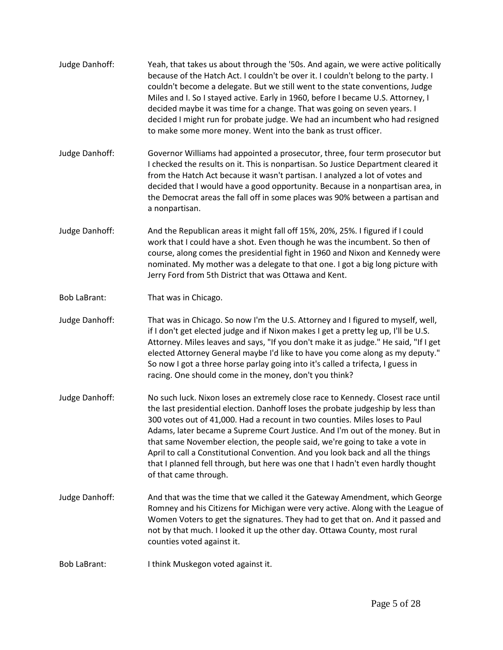| Judge Danhoff:      | Yeah, that takes us about through the '50s. And again, we were active politically<br>because of the Hatch Act. I couldn't be over it. I couldn't belong to the party. I<br>couldn't become a delegate. But we still went to the state conventions, Judge<br>Miles and I. So I stayed active. Early in 1960, before I became U.S. Attorney, I<br>decided maybe it was time for a change. That was going on seven years. I<br>decided I might run for probate judge. We had an incumbent who had resigned<br>to make some more money. Went into the bank as trust officer.                                           |
|---------------------|--------------------------------------------------------------------------------------------------------------------------------------------------------------------------------------------------------------------------------------------------------------------------------------------------------------------------------------------------------------------------------------------------------------------------------------------------------------------------------------------------------------------------------------------------------------------------------------------------------------------|
| Judge Danhoff:      | Governor Williams had appointed a prosecutor, three, four term prosecutor but<br>I checked the results on it. This is nonpartisan. So Justice Department cleared it<br>from the Hatch Act because it wasn't partisan. I analyzed a lot of votes and<br>decided that I would have a good opportunity. Because in a nonpartisan area, in<br>the Democrat areas the fall off in some places was 90% between a partisan and<br>a nonpartisan.                                                                                                                                                                          |
| Judge Danhoff:      | And the Republican areas it might fall off 15%, 20%, 25%. I figured if I could<br>work that I could have a shot. Even though he was the incumbent. So then of<br>course, along comes the presidential fight in 1960 and Nixon and Kennedy were<br>nominated. My mother was a delegate to that one. I got a big long picture with<br>Jerry Ford from 5th District that was Ottawa and Kent.                                                                                                                                                                                                                         |
| <b>Bob LaBrant:</b> | That was in Chicago.                                                                                                                                                                                                                                                                                                                                                                                                                                                                                                                                                                                               |
| Judge Danhoff:      | That was in Chicago. So now I'm the U.S. Attorney and I figured to myself, well,<br>if I don't get elected judge and if Nixon makes I get a pretty leg up, I'll be U.S.<br>Attorney. Miles leaves and says, "If you don't make it as judge." He said, "If I get<br>elected Attorney General maybe I'd like to have you come along as my deputy."<br>So now I got a three horse parlay going into it's called a trifecta, I guess in<br>racing. One should come in the money, don't you think?                                                                                                                      |
| Judge Danhoff:      | No such luck. Nixon loses an extremely close race to Kennedy. Closest race until<br>the last presidential election. Danhoff loses the probate judgeship by less than<br>300 votes out of 41,000. Had a recount in two counties. Miles loses to Paul<br>Adams, later became a Supreme Court Justice. And I'm out of the money. But in<br>that same November election, the people said, we're going to take a vote in<br>April to call a Constitutional Convention. And you look back and all the things<br>that I planned fell through, but here was one that I hadn't even hardly thought<br>of that came through. |
| Judge Danhoff:      | And that was the time that we called it the Gateway Amendment, which George<br>Romney and his Citizens for Michigan were very active. Along with the League of<br>Women Voters to get the signatures. They had to get that on. And it passed and<br>not by that much. I looked it up the other day. Ottawa County, most rural<br>counties voted against it.                                                                                                                                                                                                                                                        |
| <b>Bob LaBrant:</b> | I think Muskegon voted against it.                                                                                                                                                                                                                                                                                                                                                                                                                                                                                                                                                                                 |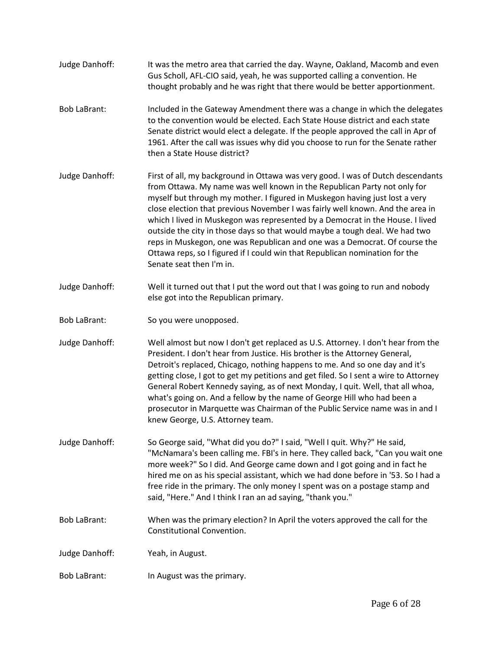| Judge Danhoff:      | It was the metro area that carried the day. Wayne, Oakland, Macomb and even<br>Gus Scholl, AFL-CIO said, yeah, he was supported calling a convention. He<br>thought probably and he was right that there would be better apportionment.                                                                                                                                                                                                                                                                                                                                                                                                                                               |
|---------------------|---------------------------------------------------------------------------------------------------------------------------------------------------------------------------------------------------------------------------------------------------------------------------------------------------------------------------------------------------------------------------------------------------------------------------------------------------------------------------------------------------------------------------------------------------------------------------------------------------------------------------------------------------------------------------------------|
| <b>Bob LaBrant:</b> | Included in the Gateway Amendment there was a change in which the delegates<br>to the convention would be elected. Each State House district and each state<br>Senate district would elect a delegate. If the people approved the call in Apr of<br>1961. After the call was issues why did you choose to run for the Senate rather<br>then a State House district?                                                                                                                                                                                                                                                                                                                   |
| Judge Danhoff:      | First of all, my background in Ottawa was very good. I was of Dutch descendants<br>from Ottawa. My name was well known in the Republican Party not only for<br>myself but through my mother. I figured in Muskegon having just lost a very<br>close election that previous November I was fairly well known. And the area in<br>which I lived in Muskegon was represented by a Democrat in the House. I lived<br>outside the city in those days so that would maybe a tough deal. We had two<br>reps in Muskegon, one was Republican and one was a Democrat. Of course the<br>Ottawa reps, so I figured if I could win that Republican nomination for the<br>Senate seat then I'm in. |
| Judge Danhoff:      | Well it turned out that I put the word out that I was going to run and nobody<br>else got into the Republican primary.                                                                                                                                                                                                                                                                                                                                                                                                                                                                                                                                                                |
| <b>Bob LaBrant:</b> | So you were unopposed.                                                                                                                                                                                                                                                                                                                                                                                                                                                                                                                                                                                                                                                                |
| Judge Danhoff:      | Well almost but now I don't get replaced as U.S. Attorney. I don't hear from the<br>President. I don't hear from Justice. His brother is the Attorney General,<br>Detroit's replaced, Chicago, nothing happens to me. And so one day and it's<br>getting close, I got to get my petitions and get filed. So I sent a wire to Attorney<br>General Robert Kennedy saying, as of next Monday, I quit. Well, that all whoa,<br>what's going on. And a fellow by the name of George Hill who had been a<br>prosecutor in Marquette was Chairman of the Public Service name was in and I<br>knew George, U.S. Attorney team.                                                                |
| Judge Danhoff:      | So George said, "What did you do?" I said, "Well I quit. Why?" He said,<br>"McNamara's been calling me. FBI's in here. They called back, "Can you wait one<br>more week?" So I did. And George came down and I got going and in fact he<br>hired me on as his special assistant, which we had done before in '53. So I had a<br>free ride in the primary. The only money I spent was on a postage stamp and<br>said, "Here." And I think I ran an ad saying, "thank you."                                                                                                                                                                                                             |
| <b>Bob LaBrant:</b> | When was the primary election? In April the voters approved the call for the<br>Constitutional Convention.                                                                                                                                                                                                                                                                                                                                                                                                                                                                                                                                                                            |
| Judge Danhoff:      | Yeah, in August.                                                                                                                                                                                                                                                                                                                                                                                                                                                                                                                                                                                                                                                                      |
| <b>Bob LaBrant:</b> | In August was the primary.                                                                                                                                                                                                                                                                                                                                                                                                                                                                                                                                                                                                                                                            |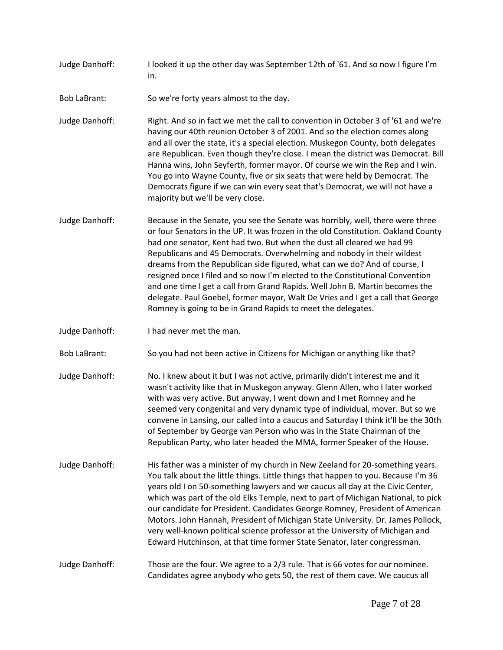- Judge Danhoff: I looked it up the other day was September 12th of '61. And so now I figure I'm in.
- Bob LaBrant: So we're forty years almost to the day.
- Judge Danhoff: Right. And so in fact we met the call to convention in October 3 of '61 and we're having our 40th reunion October 3 of 2001. And so the election comes along and all over the state, it's a special election. Muskegon County, both delegates are Republican. Even though they're close. I mean the district was Democrat. Bill Hanna wins, John Seyferth, former mayor. Of course we win the Rep and I win. You go into Wayne County, five or six seats that were held by Democrat. The Democrats figure if we can win every seat that's Democrat, we will not have a majority but we'll be very close.
- Judge Danhoff: Because in the Senate, you see the Senate was horribly, well, there were three or four Senators in the UP. It was frozen in the old Constitution. Oakland County had one senator, Kent had two. But when the dust all cleared we had 99 Republicans and 45 Democrats. Overwhelming and nobody in their wildest dreams from the Republican side figured, what can we do? And of course, I resigned once I filed and so now I'm elected to the Constitutional Convention and one time I get a call from Grand Rapids. Well John B. Martin becomes the delegate. Paul Goebel, former mayor, Walt De Vries and I get a call that George Romney is going to be in Grand Rapids to meet the delegates.
- Judge Danhoff: I had never met the man.

Bob LaBrant: So you had not been active in Citizens for Michigan or anything like that?

- Judge Danhoff: No. I knew about it but I was not active, primarily didn't interest me and it wasn't activity like that in Muskegon anyway. Glenn Allen, who I later worked with was very active. But anyway, I went down and I met Romney and he seemed very congenital and very dynamic type of individual, mover. But so we convene in Lansing, our called into a caucus and Saturday I think it'll be the 30th of September by George van Person who was in the State Chairman of the Republican Party, who later headed the MMA, former Speaker of the House.
- Judge Danhoff: His father was a minister of my church in New Zeeland for 20-something years. You talk about the little things. Little things that happen to you. Because I'm 36 years old I on 50-something lawyers and we caucus all day at the Civic Center, which was part of the old Elks Temple, next to part of Michigan National, to pick our candidate for President. Candidates George Romney, President of American Motors. John Hannah, President of Michigan State University. Dr. James Pollock, very well-known political science professor at the University of Michigan and Edward Hutchinson, at that time former State Senator, later congressman.

Judge Danhoff: Those are the four. We agree to a 2/3 rule. That is 66 votes for our nominee. Candidates agree anybody who gets 50, the rest of them cave. We caucus all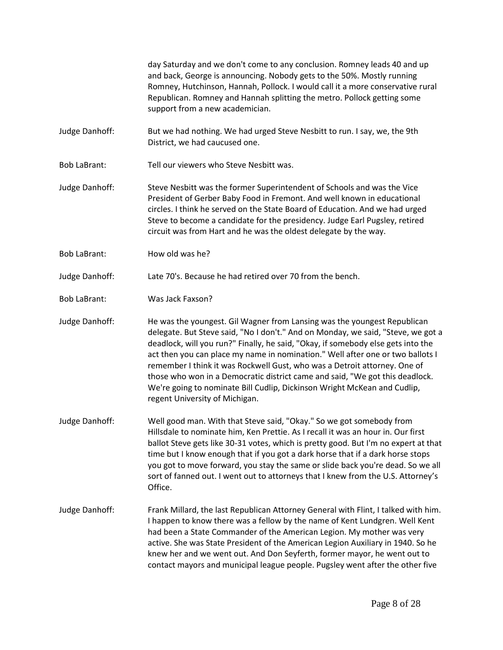day Saturday and we don't come to any conclusion. Romney leads 40 and up and back, George is announcing. Nobody gets to the 50%. Mostly running Romney, Hutchinson, Hannah, Pollock. I would call it a more conservative rural Republican. Romney and Hannah splitting the metro. Pollock getting some support from a new academician.

- Judge Danhoff: But we had nothing. We had urged Steve Nesbitt to run. I say, we, the 9th District, we had caucused one.
- Bob LaBrant: Tell our viewers who Steve Nesbitt was.
- Judge Danhoff: Steve Nesbitt was the former Superintendent of Schools and was the Vice President of Gerber Baby Food in Fremont. And well known in educational circles. I think he served on the State Board of Education. And we had urged Steve to become a candidate for the presidency. Judge Earl Pugsley, retired circuit was from Hart and he was the oldest delegate by the way.
- Bob LaBrant: How old was he?

Judge Danhoff: Late 70's. Because he had retired over 70 from the bench.

Bob LaBrant: Was Jack Faxson?

Judge Danhoff: He was the youngest. Gil Wagner from Lansing was the youngest Republican delegate. But Steve said, "No I don't." And on Monday, we said, "Steve, we got a deadlock, will you run?" Finally, he said, "Okay, if somebody else gets into the act then you can place my name in nomination." Well after one or two ballots I remember I think it was Rockwell Gust, who was a Detroit attorney. One of those who won in a Democratic district came and said, "We got this deadlock. We're going to nominate Bill Cudlip, Dickinson Wright McKean and Cudlip, regent University of Michigan.

- Judge Danhoff: Well good man. With that Steve said, "Okay." So we got somebody from Hillsdale to nominate him, Ken Prettie. As I recall it was an hour in. Our first ballot Steve gets like 30-31 votes, which is pretty good. But I'm no expert at that time but I know enough that if you got a dark horse that if a dark horse stops you got to move forward, you stay the same or slide back you're dead. So we all sort of fanned out. I went out to attorneys that I knew from the U.S. Attorney's Office.
- Judge Danhoff: Frank Millard, the last Republican Attorney General with Flint, I talked with him. I happen to know there was a fellow by the name of Kent Lundgren. Well Kent had been a State Commander of the American Legion. My mother was very active. She was State President of the American Legion Auxiliary in 1940. So he knew her and we went out. And Don Seyferth, former mayor, he went out to contact mayors and municipal league people. Pugsley went after the other five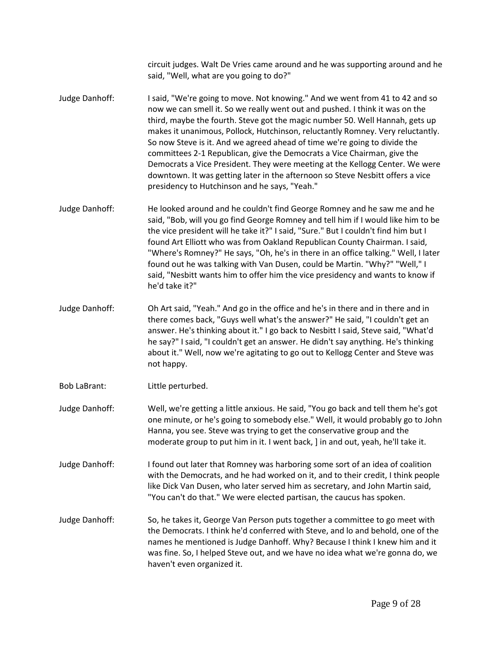circuit judges. Walt De Vries came around and he was supporting around and he said, "Well, what are you going to do?"

- Judge Danhoff: I said, "We're going to move. Not knowing." And we went from 41 to 42 and so now we can smell it. So we really went out and pushed. I think it was on the third, maybe the fourth. Steve got the magic number 50. Well Hannah, gets up makes it unanimous, Pollock, Hutchinson, reluctantly Romney. Very reluctantly. So now Steve is it. And we agreed ahead of time we're going to divide the committees 2-1 Republican, give the Democrats a Vice Chairman, give the Democrats a Vice President. They were meeting at the Kellogg Center. We were downtown. It was getting later in the afternoon so Steve Nesbitt offers a vice presidency to Hutchinson and he says, "Yeah."
- Judge Danhoff: He looked around and he couldn't find George Romney and he saw me and he said, "Bob, will you go find George Romney and tell him if I would like him to be the vice president will he take it?" I said, "Sure." But I couldn't find him but I found Art Elliott who was from Oakland Republican County Chairman. I said, "Where's Romney?" He says, "Oh, he's in there in an office talking." Well, I later found out he was talking with Van Dusen, could be Martin. "Why?" "Well," I said, "Nesbitt wants him to offer him the vice presidency and wants to know if he'd take it?"
- Judge Danhoff: Oh Art said, "Yeah." And go in the office and he's in there and in there and in there comes back, "Guys well what's the answer?" He said, "I couldn't get an answer. He's thinking about it." I go back to Nesbitt I said, Steve said, "What'd he say?" I said, "I couldn't get an answer. He didn't say anything. He's thinking about it." Well, now we're agitating to go out to Kellogg Center and Steve was not happy.
- Bob LaBrant: Little perturbed.
- Judge Danhoff: Well, we're getting a little anxious. He said, "You go back and tell them he's got one minute, or he's going to somebody else." Well, it would probably go to John Hanna, you see. Steve was trying to get the conservative group and the moderate group to put him in it. I went back, ] in and out, yeah, he'll take it.
- Judge Danhoff: I found out later that Romney was harboring some sort of an idea of coalition with the Democrats, and he had worked on it, and to their credit, I think people like Dick Van Dusen, who later served him as secretary, and John Martin said, "You can't do that." We were elected partisan, the caucus has spoken.
- Judge Danhoff: So, he takes it, George Van Person puts together a committee to go meet with the Democrats. I think he'd conferred with Steve, and lo and behold, one of the names he mentioned is Judge Danhoff. Why? Because I think I knew him and it was fine. So, I helped Steve out, and we have no idea what we're gonna do, we haven't even organized it.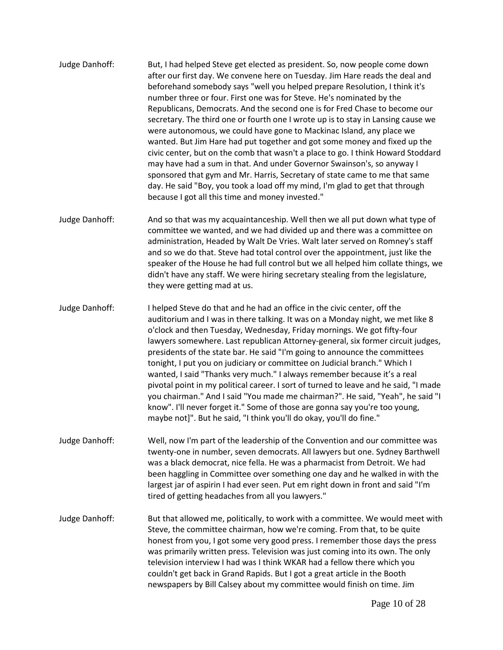- Judge Danhoff: But, I had helped Steve get elected as president. So, now people come down after our first day. We convene here on Tuesday. Jim Hare reads the deal and beforehand somebody says "well you helped prepare Resolution, I think it's number three or four. First one was for Steve. He's nominated by the Republicans, Democrats. And the second one is for Fred Chase to become our secretary. The third one or fourth one I wrote up is to stay in Lansing cause we were autonomous, we could have gone to Mackinac Island, any place we wanted. But Jim Hare had put together and got some money and fixed up the civic center, but on the comb that wasn't a place to go. I think Howard Stoddard may have had a sum in that. And under Governor Swainson's, so anyway I sponsored that gym and Mr. Harris, Secretary of state came to me that same day. He said "Boy, you took a load off my mind, I'm glad to get that through because I got all this time and money invested."
- Judge Danhoff: And so that was my acquaintanceship. Well then we all put down what type of committee we wanted, and we had divided up and there was a committee on administration, Headed by Walt De Vries. Walt later served on Romney's staff and so we do that. Steve had total control over the appointment, just like the speaker of the House he had full control but we all helped him collate things, we didn't have any staff. We were hiring secretary stealing from the legislature, they were getting mad at us.
- Judge Danhoff: I helped Steve do that and he had an office in the civic center, off the auditorium and I was in there talking. It was on a Monday night, we met like 8 o'clock and then Tuesday, Wednesday, Friday mornings. We got fifty-four lawyers somewhere. Last republican Attorney-general, six former circuit judges, presidents of the state bar. He said "I'm going to announce the committees tonight, I put you on judiciary or committee on Judicial branch." Which I wanted, I said "Thanks very much." I always remember because it's a real pivotal point in my political career. I sort of turned to leave and he said, "I made you chairman." And I said "You made me chairman?". He said, "Yeah", he said "I know". I'll never forget it." Some of those are gonna say you're too young, maybe not]". But he said, "I think you'll do okay, you'll do fine."
- Judge Danhoff: Well, now I'm part of the leadership of the Convention and our committee was twenty-one in number, seven democrats. All lawyers but one. Sydney Barthwell was a black democrat, nice fella. He was a pharmacist from Detroit. We had been haggling in Committee over something one day and he walked in with the largest jar of aspirin I had ever seen. Put em right down in front and said "I'm tired of getting headaches from all you lawyers."
- Judge Danhoff: But that allowed me, politically, to work with a committee. We would meet with Steve, the committee chairman, how we're coming. From that, to be quite honest from you, I got some very good press. I remember those days the press was primarily written press. Television was just coming into its own. The only television interview I had was I think WKAR had a fellow there which you couldn't get back in Grand Rapids. But I got a great article in the Booth newspapers by Bill Calsey about my committee would finish on time. Jim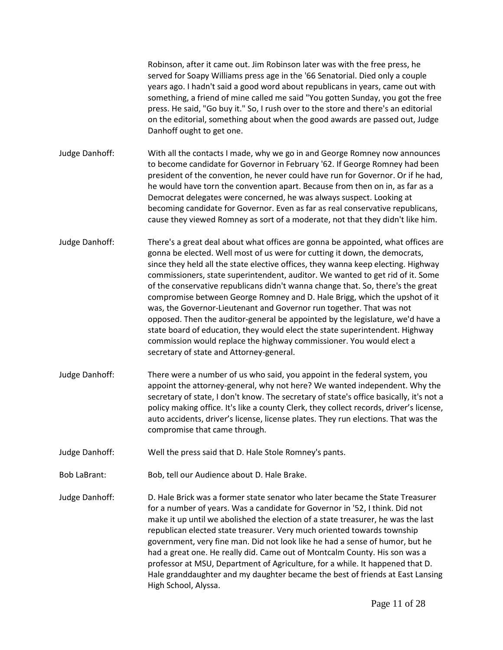Robinson, after it came out. Jim Robinson later was with the free press, he served for Soapy Williams press age in the '66 Senatorial. Died only a couple years ago. I hadn't said a good word about republicans in years, came out with something, a friend of mine called me said "You gotten Sunday, you got the free press. He said, "Go buy it." So, I rush over to the store and there's an editorial on the editorial, something about when the good awards are passed out, Judge Danhoff ought to get one.

Judge Danhoff: With all the contacts I made, why we go in and George Romney now announces to become candidate for Governor in February '62. If George Romney had been president of the convention, he never could have run for Governor. Or if he had, he would have torn the convention apart. Because from then on in, as far as a Democrat delegates were concerned, he was always suspect. Looking at becoming candidate for Governor. Even as far as real conservative republicans, cause they viewed Romney as sort of a moderate, not that they didn't like him.

- Judge Danhoff: There's a great deal about what offices are gonna be appointed, what offices are gonna be elected. Well most of us were for cutting it down, the democrats, since they held all the state elective offices, they wanna keep electing. Highway commissioners, state superintendent, auditor. We wanted to get rid of it. Some of the conservative republicans didn't wanna change that. So, there's the great compromise between George Romney and D. Hale Brigg, which the upshot of it was, the Governor-Lieutenant and Governor run together. That was not opposed. Then the auditor-general be appointed by the legislature, we'd have a state board of education, they would elect the state superintendent. Highway commission would replace the highway commissioner. You would elect a secretary of state and Attorney-general.
- Judge Danhoff: There were a number of us who said, you appoint in the federal system, you appoint the attorney-general, why not here? We wanted independent. Why the secretary of state, I don't know. The secretary of state's office basically, it's not a policy making office. It's like a county Clerk, they collect records, driver's license, auto accidents, driver's license, license plates. They run elections. That was the compromise that came through.
- Judge Danhoff: Well the press said that D. Hale Stole Romney's pants.
- Bob LaBrant: Bob, tell our Audience about D. Hale Brake.
- Judge Danhoff: D. Hale Brick was a former state senator who later became the State Treasurer for a number of years. Was a candidate for Governor in '52, I think. Did not make it up until we abolished the election of a state treasurer, he was the last republican elected state treasurer. Very much oriented towards township government, very fine man. Did not look like he had a sense of humor, but he had a great one. He really did. Came out of Montcalm County. His son was a professor at MSU, Department of Agriculture, for a while. It happened that D. Hale granddaughter and my daughter became the best of friends at East Lansing High School, Alyssa.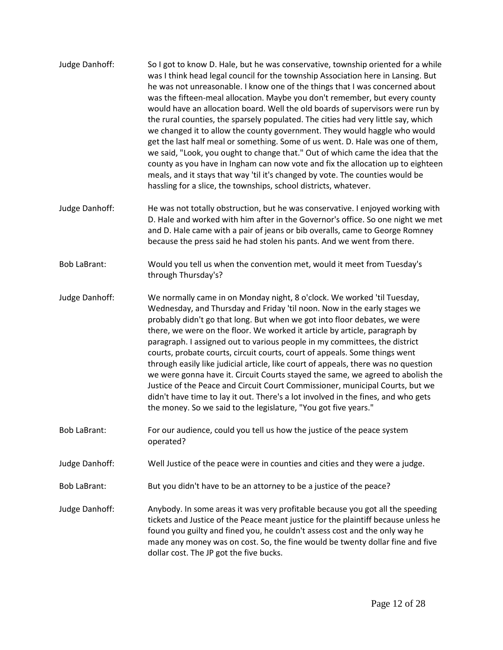Judge Danhoff: So I got to know D. Hale, but he was conservative, township oriented for a while was I think head legal council for the township Association here in Lansing. But he was not unreasonable. I know one of the things that I was concerned about was the fifteen-meal allocation. Maybe you don't remember, but every county would have an allocation board. Well the old boards of supervisors were run by the rural counties, the sparsely populated. The cities had very little say, which we changed it to allow the county government. They would haggle who would get the last half meal or something. Some of us went. D. Hale was one of them, we said, "Look, you ought to change that." Out of which came the idea that the county as you have in Ingham can now vote and fix the allocation up to eighteen meals, and it stays that way 'til it's changed by vote. The counties would be hassling for a slice, the townships, school districts, whatever. Judge Danhoff: He was not totally obstruction, but he was conservative. I enjoyed working with D. Hale and worked with him after in the Governor's office. So one night we met and D. Hale came with a pair of jeans or bib overalls, came to George Romney because the press said he had stolen his pants. And we went from there. Bob LaBrant: Would you tell us when the convention met, would it meet from Tuesday's through Thursday's? Judge Danhoff: We normally came in on Monday night, 8 o'clock. We worked 'til Tuesday, Wednesday, and Thursday and Friday 'til noon. Now in the early stages we probably didn't go that long. But when we got into floor debates, we were there, we were on the floor. We worked it article by article, paragraph by paragraph. I assigned out to various people in my committees, the district courts, probate courts, circuit courts, court of appeals. Some things went through easily like judicial article, like court of appeals, there was no question we were gonna have it. Circuit Courts stayed the same, we agreed to abolish the Justice of the Peace and Circuit Court Commissioner, municipal Courts, but we didn't have time to lay it out. There's a lot involved in the fines, and who gets the money. So we said to the legislature, "You got five years." Bob LaBrant: For our audience, could you tell us how the justice of the peace system operated? Judge Danhoff: Well Justice of the peace were in counties and cities and they were a judge. Bob LaBrant: But you didn't have to be an attorney to be a justice of the peace? Judge Danhoff: Anybody. In some areas it was very profitable because you got all the speeding tickets and Justice of the Peace meant justice for the plaintiff because unless he found you guilty and fined you, he couldn't assess cost and the only way he made any money was on cost. So, the fine would be twenty dollar fine and five dollar cost. The JP got the five bucks.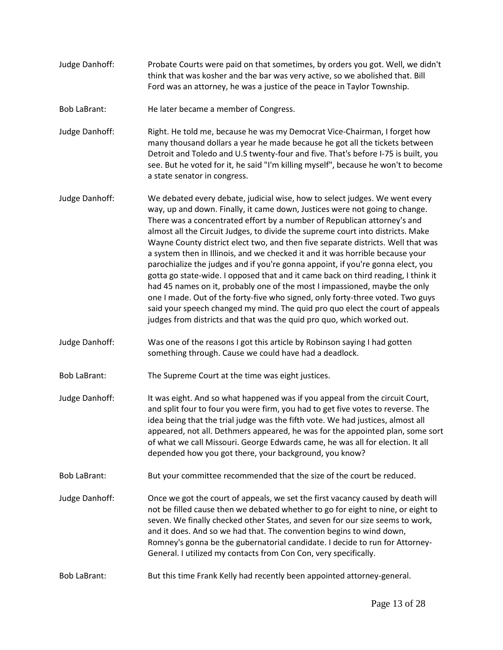Judge Danhoff: Probate Courts were paid on that sometimes, by orders you got. Well, we didn't think that was kosher and the bar was very active, so we abolished that. Bill Ford was an attorney, he was a justice of the peace in Taylor Township.

Bob LaBrant: He later became a member of Congress.

Judge Danhoff: Right. He told me, because he was my Democrat Vice-Chairman, I forget how many thousand dollars a year he made because he got all the tickets between Detroit and Toledo and U.S twenty-four and five. That's before I-75 is built, you see. But he voted for it, he said "I'm killing myself", because he won't to become a state senator in congress.

- Judge Danhoff: We debated every debate, judicial wise, how to select judges. We went every way, up and down. Finally, it came down, Justices were not going to change. There was a concentrated effort by a number of Republican attorney's and almost all the Circuit Judges, to divide the supreme court into districts. Make Wayne County district elect two, and then five separate districts. Well that was a system then in Illinois, and we checked it and it was horrible because your parochialize the judges and if you're gonna appoint, if you're gonna elect, you gotta go state-wide. I opposed that and it came back on third reading, I think it had 45 names on it, probably one of the most I impassioned, maybe the only one I made. Out of the forty-five who signed, only forty-three voted. Two guys said your speech changed my mind. The quid pro quo elect the court of appeals judges from districts and that was the quid pro quo, which worked out.
- Judge Danhoff: Was one of the reasons I got this article by Robinson saying I had gotten something through. Cause we could have had a deadlock.

Bob LaBrant: The Supreme Court at the time was eight justices.

- Judge Danhoff: It was eight. And so what happened was if you appeal from the circuit Court, and split four to four you were firm, you had to get five votes to reverse. The idea being that the trial judge was the fifth vote. We had justices, almost all appeared, not all. Dethmers appeared, he was for the appointed plan, some sort of what we call Missouri. George Edwards came, he was all for election. It all depended how you got there, your background, you know?
- Bob LaBrant: But your committee recommended that the size of the court be reduced.
- Judge Danhoff: Once we got the court of appeals, we set the first vacancy caused by death will not be filled cause then we debated whether to go for eight to nine, or eight to seven. We finally checked other States, and seven for our size seems to work, and it does. And so we had that. The convention begins to wind down, Romney's gonna be the gubernatorial candidate. I decide to run for Attorney-General. I utilized my contacts from Con Con, very specifically.
- Bob LaBrant: But this time Frank Kelly had recently been appointed attorney-general.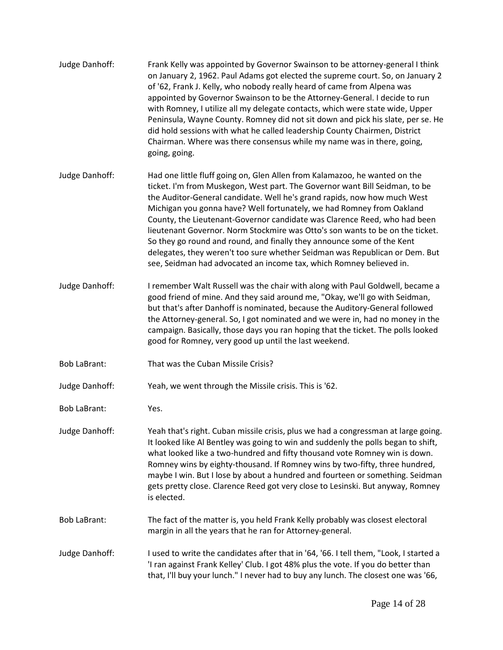| Judge Danhoff:      | Frank Kelly was appointed by Governor Swainson to be attorney-general I think<br>on January 2, 1962. Paul Adams got elected the supreme court. So, on January 2<br>of '62, Frank J. Kelly, who nobody really heard of came from Alpena was<br>appointed by Governor Swainson to be the Attorney-General. I decide to run<br>with Romney, I utilize all my delegate contacts, which were state wide, Upper<br>Peninsula, Wayne County. Romney did not sit down and pick his slate, per se. He<br>did hold sessions with what he called leadership County Chairmen, District<br>Chairman. Where was there consensus while my name was in there, going,<br>going, going.                                        |
|---------------------|--------------------------------------------------------------------------------------------------------------------------------------------------------------------------------------------------------------------------------------------------------------------------------------------------------------------------------------------------------------------------------------------------------------------------------------------------------------------------------------------------------------------------------------------------------------------------------------------------------------------------------------------------------------------------------------------------------------|
| Judge Danhoff:      | Had one little fluff going on, Glen Allen from Kalamazoo, he wanted on the<br>ticket. I'm from Muskegon, West part. The Governor want Bill Seidman, to be<br>the Auditor-General candidate. Well he's grand rapids, now how much West<br>Michigan you gonna have? Well fortunately, we had Romney from Oakland<br>County, the Lieutenant-Governor candidate was Clarence Reed, who had been<br>lieutenant Governor. Norm Stockmire was Otto's son wants to be on the ticket.<br>So they go round and round, and finally they announce some of the Kent<br>delegates, they weren't too sure whether Seidman was Republican or Dem. But<br>see, Seidman had advocated an income tax, which Romney believed in. |
| Judge Danhoff:      | I remember Walt Russell was the chair with along with Paul Goldwell, became a<br>good friend of mine. And they said around me, "Okay, we'll go with Seidman,<br>but that's after Danhoff is nominated, because the Auditory-General followed<br>the Attorney-general. So, I got nominated and we were in, had no money in the<br>campaign. Basically, those days you ran hoping that the ticket. The polls looked<br>good for Romney, very good up until the last weekend.                                                                                                                                                                                                                                   |
| <b>Bob LaBrant:</b> | That was the Cuban Missile Crisis?                                                                                                                                                                                                                                                                                                                                                                                                                                                                                                                                                                                                                                                                           |
| Judge Danhoff:      | Yeah, we went through the Missile crisis. This is '62.                                                                                                                                                                                                                                                                                                                                                                                                                                                                                                                                                                                                                                                       |
| <b>Bob LaBrant:</b> | Yes.                                                                                                                                                                                                                                                                                                                                                                                                                                                                                                                                                                                                                                                                                                         |
| Judge Danhoff:      | Yeah that's right. Cuban missile crisis, plus we had a congressman at large going.<br>It looked like Al Bentley was going to win and suddenly the polls began to shift,<br>what looked like a two-hundred and fifty thousand vote Romney win is down.<br>Romney wins by eighty-thousand. If Romney wins by two-fifty, three hundred,<br>maybe I win. But I lose by about a hundred and fourteen or something. Seidman<br>gets pretty close. Clarence Reed got very close to Lesinski. But anyway, Romney<br>is elected.                                                                                                                                                                                      |
| <b>Bob LaBrant:</b> | The fact of the matter is, you held Frank Kelly probably was closest electoral<br>margin in all the years that he ran for Attorney-general.                                                                                                                                                                                                                                                                                                                                                                                                                                                                                                                                                                  |
| Judge Danhoff:      | I used to write the candidates after that in '64, '66. I tell them, "Look, I started a<br>'I ran against Frank Kelley' Club. I got 48% plus the vote. If you do better than<br>that, I'll buy your lunch." I never had to buy any lunch. The closest one was '66,                                                                                                                                                                                                                                                                                                                                                                                                                                            |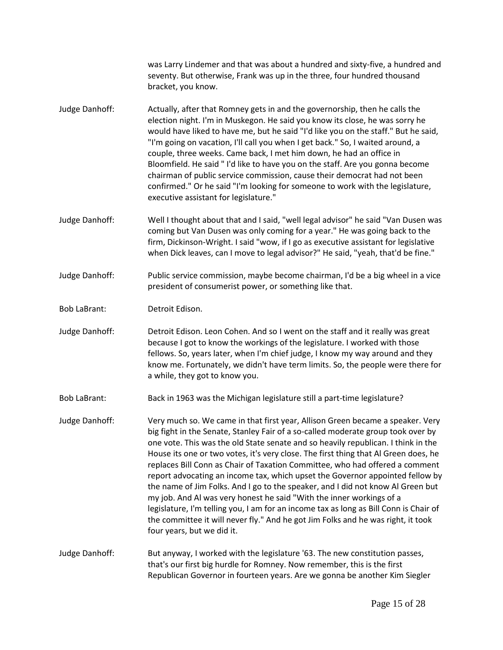|                     | was Larry Lindemer and that was about a hundred and sixty-five, a hundred and<br>seventy. But otherwise, Frank was up in the three, four hundred thousand<br>bracket, you know.                                                                                                                                                                                                                                                                                                                                                                                                                                                                                                                                                                                                                                                                                                       |
|---------------------|---------------------------------------------------------------------------------------------------------------------------------------------------------------------------------------------------------------------------------------------------------------------------------------------------------------------------------------------------------------------------------------------------------------------------------------------------------------------------------------------------------------------------------------------------------------------------------------------------------------------------------------------------------------------------------------------------------------------------------------------------------------------------------------------------------------------------------------------------------------------------------------|
| Judge Danhoff:      | Actually, after that Romney gets in and the governorship, then he calls the<br>election night. I'm in Muskegon. He said you know its close, he was sorry he<br>would have liked to have me, but he said "I'd like you on the staff." But he said,<br>"I'm going on vacation, I'll call you when I get back." So, I waited around, a<br>couple, three weeks. Came back, I met him down, he had an office in<br>Bloomfield. He said "I'd like to have you on the staff. Are you gonna become<br>chairman of public service commission, cause their democrat had not been<br>confirmed." Or he said "I'm looking for someone to work with the legislature,<br>executive assistant for legislature."                                                                                                                                                                                      |
| Judge Danhoff:      | Well I thought about that and I said, "well legal advisor" he said "Van Dusen was<br>coming but Van Dusen was only coming for a year." He was going back to the<br>firm, Dickinson-Wright. I said "wow, if I go as executive assistant for legislative<br>when Dick leaves, can I move to legal advisor?" He said, "yeah, that'd be fine."                                                                                                                                                                                                                                                                                                                                                                                                                                                                                                                                            |
| Judge Danhoff:      | Public service commission, maybe become chairman, I'd be a big wheel in a vice<br>president of consumerist power, or something like that.                                                                                                                                                                                                                                                                                                                                                                                                                                                                                                                                                                                                                                                                                                                                             |
| <b>Bob LaBrant:</b> | Detroit Edison.                                                                                                                                                                                                                                                                                                                                                                                                                                                                                                                                                                                                                                                                                                                                                                                                                                                                       |
| Judge Danhoff:      | Detroit Edison. Leon Cohen. And so I went on the staff and it really was great<br>because I got to know the workings of the legislature. I worked with those<br>fellows. So, years later, when I'm chief judge, I know my way around and they<br>know me. Fortunately, we didn't have term limits. So, the people were there for<br>a while, they got to know you.                                                                                                                                                                                                                                                                                                                                                                                                                                                                                                                    |
| <b>Bob LaBrant:</b> | Back in 1963 was the Michigan legislature still a part-time legislature?                                                                                                                                                                                                                                                                                                                                                                                                                                                                                                                                                                                                                                                                                                                                                                                                              |
| Judge Danhoff:      | Very much so. We came in that first year, Allison Green became a speaker. Very<br>big fight in the Senate, Stanley Fair of a so-called moderate group took over by<br>one vote. This was the old State senate and so heavily republican. I think in the<br>House its one or two votes, it's very close. The first thing that AI Green does, he<br>replaces Bill Conn as Chair of Taxation Committee, who had offered a comment<br>report advocating an income tax, which upset the Governor appointed fellow by<br>the name of Jim Folks. And I go to the speaker, and I did not know Al Green but<br>my job. And Al was very honest he said "With the inner workings of a<br>legislature, I'm telling you, I am for an income tax as long as Bill Conn is Chair of<br>the committee it will never fly." And he got Jim Folks and he was right, it took<br>four years, but we did it. |
| Judge Danhoff:      | But anyway, I worked with the legislature '63. The new constitution passes,<br>that's our first big hurdle for Romney. Now remember, this is the first<br>Republican Governor in fourteen years. Are we gonna be another Kim Siegler                                                                                                                                                                                                                                                                                                                                                                                                                                                                                                                                                                                                                                                  |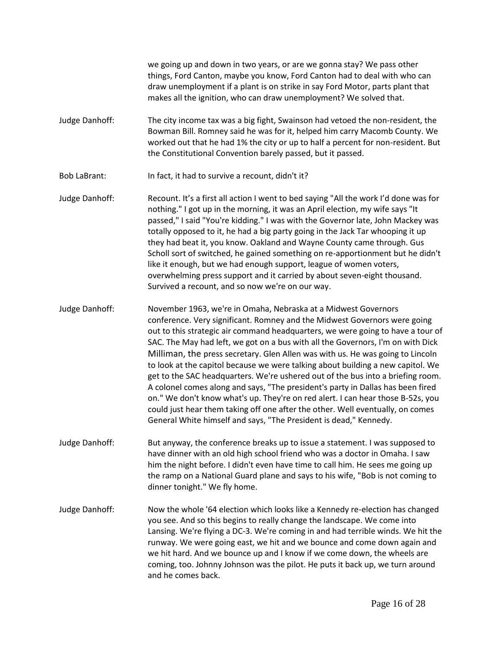we going up and down in two years, or are we gonna stay? We pass other things, Ford Canton, maybe you know, Ford Canton had to deal with who can draw unemployment if a plant is on strike in say Ford Motor, parts plant that makes all the ignition, who can draw unemployment? We solved that.

- Judge Danhoff: The city income tax was a big fight, Swainson had vetoed the non-resident, the Bowman Bill. Romney said he was for it, helped him carry Macomb County. We worked out that he had 1% the city or up to half a percent for non-resident. But the Constitutional Convention barely passed, but it passed.
- Bob LaBrant: In fact, it had to survive a recount, didn't it?
- Judge Danhoff: Recount. It's a first all action I went to bed saying "All the work I'd done was for nothing." I got up in the morning, it was an April election, my wife says "It passed," I said "You're kidding." I was with the Governor late, John Mackey was totally opposed to it, he had a big party going in the Jack Tar whooping it up they had beat it, you know. Oakland and Wayne County came through. Gus Scholl sort of switched, he gained something on re-apportionment but he didn't like it enough, but we had enough support, league of women voters, overwhelming press support and it carried by about seven-eight thousand. Survived a recount, and so now we're on our way.
- Judge Danhoff: November 1963, we're in Omaha, Nebraska at a Midwest Governors conference. Very significant. Romney and the Midwest Governors were going out to this strategic air command headquarters, we were going to have a tour of SAC. The May had left, we got on a bus with all the Governors, I'm on with Dick Milliman, the press secretary. Glen Allen was with us. He was going to Lincoln to look at the capitol because we were talking about building a new capitol. We get to the SAC headquarters. We're ushered out of the bus into a briefing room. A colonel comes along and says, "The president's party in Dallas has been fired on." We don't know what's up. They're on red alert. I can hear those B-52s, you could just hear them taking off one after the other. Well eventually, on comes General White himself and says, "The President is dead," Kennedy.
- Judge Danhoff: But anyway, the conference breaks up to issue a statement. I was supposed to have dinner with an old high school friend who was a doctor in Omaha. I saw him the night before. I didn't even have time to call him. He sees me going up the ramp on a National Guard plane and says to his wife, "Bob is not coming to dinner tonight." We fly home.
- Judge Danhoff: Now the whole '64 election which looks like a Kennedy re-election has changed you see. And so this begins to really change the landscape. We come into Lansing. We're flying a DC-3. We're coming in and had terrible winds. We hit the runway. We were going east, we hit and we bounce and come down again and we hit hard. And we bounce up and I know if we come down, the wheels are coming, too. Johnny Johnson was the pilot. He puts it back up, we turn around and he comes back.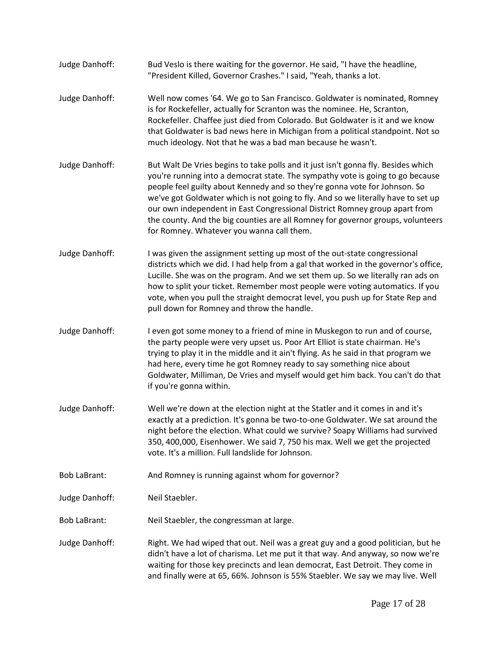- Judge Danhoff: Bud Veslo is there waiting for the governor. He said, "I have the headline, "President Killed, Governor Crashes." I said, "Yeah, thanks a lot.
- Judge Danhoff: Well now comes '64. We go to San Francisco. Goldwater is nominated, Romney is for Rockefeller, actually for Scranton was the nominee. He, Scranton, Rockefeller. Chaffee just died from Colorado. But Goldwater is it and we know that Goldwater is bad news here in Michigan from a political standpoint. Not so much ideology. Not that he was a bad man because he wasn't.
- Judge Danhoff: But Walt De Vries begins to take polls and it just isn't gonna fly. Besides which you're running into a democrat state. The sympathy vote is going to go because people feel guilty about Kennedy and so they're gonna vote for Johnson. So we've got Goldwater which is not going to fly. And so we literally have to set up our own independent in East Congressional District Romney group apart from the county. And the big counties are all Romney for governor groups, volunteers for Romney. Whatever you wanna call them.
- Judge Danhoff: I was given the assignment setting up most of the out-state congressional districts which we did. I had help from a gal that worked in the governor's office, Lucille. She was on the program. And we set them up. So we literally ran ads on how to split your ticket. Remember most people were voting automatics. If you vote, when you pull the straight democrat level, you push up for State Rep and pull down for Romney and throw the handle.
- Judge Danhoff: I even got some money to a friend of mine in Muskegon to run and of course, the party people were very upset us. Poor Art Elliot is state chairman. He's trying to play it in the middle and it ain't flying. As he said in that program we had here, every time he got Romney ready to say something nice about Goldwater, Milliman, De Vries and myself would get him back. You can't do that if you're gonna within.
- Judge Danhoff: Well we're down at the election night at the Statler and it comes in and it's exactly at a prediction. It's gonna be two-to-one Goldwater. We sat around the night before the election. What could we survive? Soapy Williams had survived 350, 400,000, Eisenhower. We said 7, 750 his max. Well we get the projected vote. It's a million. Full landslide for Johnson.
- Bob LaBrant: And Romney is running against whom for governor?
- Judge Danhoff: Neil Staebler.
- Bob LaBrant: Neil Staebler, the congressman at large.
- Judge Danhoff: Right. We had wiped that out. Neil was a great guy and a good politician, but he didn't have a lot of charisma. Let me put it that way. And anyway, so now we're waiting for those key precincts and lean democrat, East Detroit. They come in and finally were at 65, 66%. Johnson is 55% Staebler. We say we may live. Well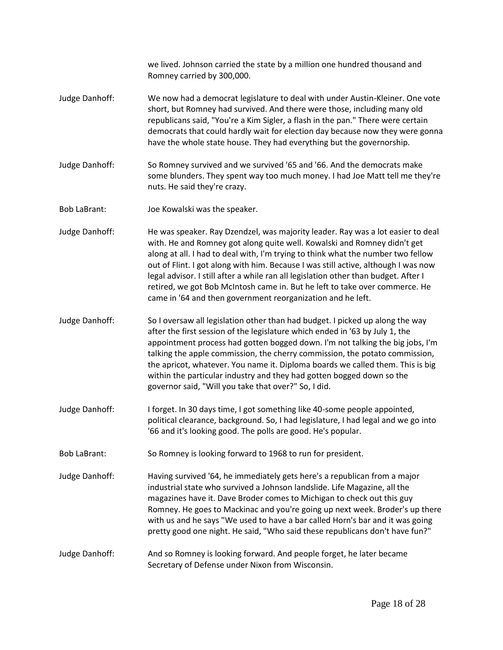|                     | we lived. Johnson carried the state by a million one hundred thousand and<br>Romney carried by 300,000.                                                                                                                                                                                                                                                                                                                                                                                                                                                                    |
|---------------------|----------------------------------------------------------------------------------------------------------------------------------------------------------------------------------------------------------------------------------------------------------------------------------------------------------------------------------------------------------------------------------------------------------------------------------------------------------------------------------------------------------------------------------------------------------------------------|
| Judge Danhoff:      | We now had a democrat legislature to deal with under Austin-Kleiner. One vote<br>short, but Romney had survived. And there were those, including many old<br>republicans said, "You're a Kim Sigler, a flash in the pan." There were certain<br>democrats that could hardly wait for election day because now they were gonna<br>have the whole state house. They had everything but the governorship.                                                                                                                                                                     |
| Judge Danhoff:      | So Romney survived and we survived '65 and '66. And the democrats make<br>some blunders. They spent way too much money. I had Joe Matt tell me they're<br>nuts. He said they're crazy.                                                                                                                                                                                                                                                                                                                                                                                     |
| <b>Bob LaBrant:</b> | Joe Kowalski was the speaker.                                                                                                                                                                                                                                                                                                                                                                                                                                                                                                                                              |
| Judge Danhoff:      | He was speaker. Ray Dzendzel, was majority leader. Ray was a lot easier to deal<br>with. He and Romney got along quite well. Kowalski and Romney didn't get<br>along at all. I had to deal with, I'm trying to think what the number two fellow<br>out of Flint. I got along with him. Because I was still active, although I was now<br>legal advisor. I still after a while ran all legislation other than budget. After I<br>retired, we got Bob McIntosh came in. But he left to take over commerce. He<br>came in '64 and then government reorganization and he left. |
| Judge Danhoff:      | So I oversaw all legislation other than had budget. I picked up along the way<br>after the first session of the legislature which ended in '63 by July 1, the<br>appointment process had gotten bogged down. I'm not talking the big jobs, I'm<br>talking the apple commission, the cherry commission, the potato commission,<br>the apricot, whatever. You name it. Diploma boards we called them. This is big<br>within the particular industry and they had gotten bogged down so the<br>governor said, "Will you take that over?" So, I did.                           |
| Judge Danhoff:      | I forget. In 30 days time, I got something like 40-some people appointed,<br>political clearance, background. So, I had legislature, I had legal and we go into<br>'66 and it's looking good. The polls are good. He's popular.                                                                                                                                                                                                                                                                                                                                            |
| <b>Bob LaBrant:</b> | So Romney is looking forward to 1968 to run for president.                                                                                                                                                                                                                                                                                                                                                                                                                                                                                                                 |
| Judge Danhoff:      | Having survived '64, he immediately gets here's a republican from a major<br>industrial state who survived a Johnson landslide. Life Magazine, all the<br>magazines have it. Dave Broder comes to Michigan to check out this guy<br>Romney. He goes to Mackinac and you're going up next week. Broder's up there<br>with us and he says "We used to have a bar called Horn's bar and it was going<br>pretty good one night. He said, "Who said these republicans don't have fun?"                                                                                          |
| Judge Danhoff:      | And so Romney is looking forward. And people forget, he later became<br>Secretary of Defense under Nixon from Wisconsin.                                                                                                                                                                                                                                                                                                                                                                                                                                                   |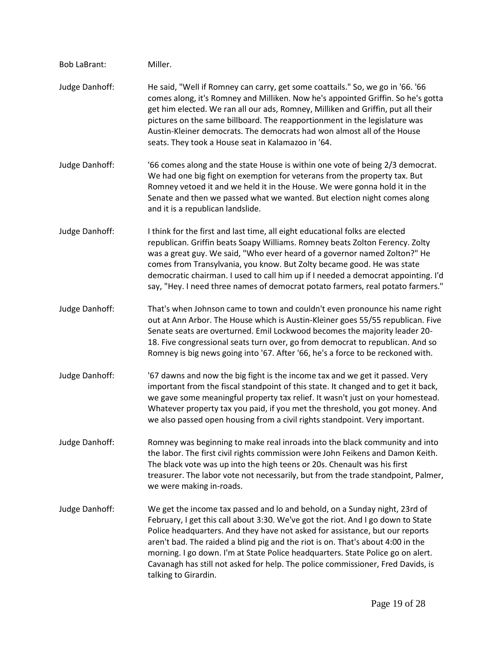Bob LaBrant: Miller. Judge Danhoff: He said, "Well if Romney can carry, get some coattails." So, we go in '66. '66 comes along, it's Romney and Milliken. Now he's appointed Griffin. So he's gotta get him elected. We ran all our ads, Romney, Milliken and Griffin, put all their pictures on the same billboard. The reapportionment in the legislature was Austin-Kleiner democrats. The democrats had won almost all of the House seats. They took a House seat in Kalamazoo in '64. Judge Danhoff: '66 comes along and the state House is within one vote of being 2/3 democrat. We had one big fight on exemption for veterans from the property tax. But Romney vetoed it and we held it in the House. We were gonna hold it in the Senate and then we passed what we wanted. But election night comes along and it is a republican landslide. Judge Danhoff: I think for the first and last time, all eight educational folks are elected republican. Griffin beats Soapy Williams. Romney beats Zolton Ferency. Zolty was a great guy. We said, "Who ever heard of a governor named Zolton?" He comes from Transylvania, you know. But Zolty became good. He was state democratic chairman. I used to call him up if I needed a democrat appointing. I'd say, "Hey. I need three names of democrat potato farmers, real potato farmers." Judge Danhoff: That's when Johnson came to town and couldn't even pronounce his name right out at Ann Arbor. The House which is Austin-Kleiner goes 55/55 republican. Five Senate seats are overturned. Emil Lockwood becomes the majority leader 20- 18. Five congressional seats turn over, go from democrat to republican. And so Romney is big news going into '67. After '66, he's a force to be reckoned with. Judge Danhoff: '67 dawns and now the big fight is the income tax and we get it passed. Very important from the fiscal standpoint of this state. It changed and to get it back, we gave some meaningful property tax relief. It wasn't just on your homestead. Whatever property tax you paid, if you met the threshold, you got money. And we also passed open housing from a civil rights standpoint. Very important. Judge Danhoff: Romney was beginning to make real inroads into the black community and into the labor. The first civil rights commission were John Feikens and Damon Keith. The black vote was up into the high teens or 20s. Chenault was his first treasurer. The labor vote not necessarily, but from the trade standpoint, Palmer, we were making in-roads. Judge Danhoff: We get the income tax passed and lo and behold, on a Sunday night, 23rd of February, I get this call about 3:30. We've got the riot. And I go down to State Police headquarters. And they have not asked for assistance, but our reports aren't bad. The raided a blind pig and the riot is on. That's about 4:00 in the morning. I go down. I'm at State Police headquarters. State Police go on alert. Cavanagh has still not asked for help. The police commissioner, Fred Davids, is talking to Girardin.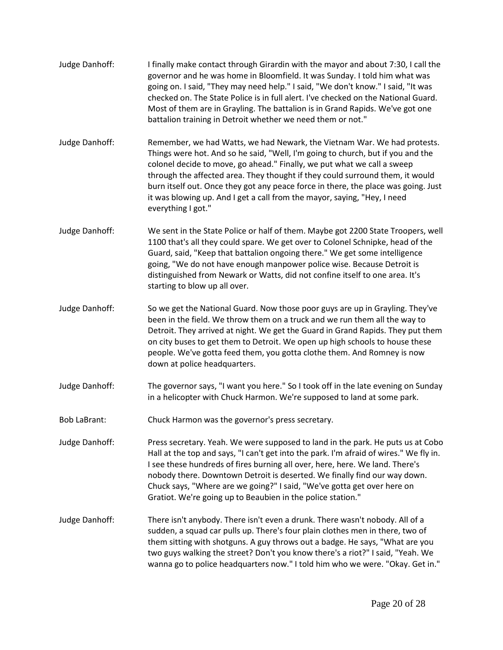- Judge Danhoff: I finally make contact through Girardin with the mayor and about 7:30, I call the governor and he was home in Bloomfield. It was Sunday. I told him what was going on. I said, "They may need help." I said, "We don't know." I said, "It was checked on. The State Police is in full alert. I've checked on the National Guard. Most of them are in Grayling. The battalion is in Grand Rapids. We've got one battalion training in Detroit whether we need them or not."
- Judge Danhoff: Remember, we had Watts, we had Newark, the Vietnam War. We had protests. Things were hot. And so he said, "Well, I'm going to church, but if you and the colonel decide to move, go ahead." Finally, we put what we call a sweep through the affected area. They thought if they could surround them, it would burn itself out. Once they got any peace force in there, the place was going. Just it was blowing up. And I get a call from the mayor, saying, "Hey, I need everything I got."
- Judge Danhoff: We sent in the State Police or half of them. Maybe got 2200 State Troopers, well 1100 that's all they could spare. We get over to Colonel Schnipke, head of the Guard, said, "Keep that battalion ongoing there." We get some intelligence going, "We do not have enough manpower police wise. Because Detroit is distinguished from Newark or Watts, did not confine itself to one area. It's starting to blow up all over.
- Judge Danhoff: So we get the National Guard. Now those poor guys are up in Grayling. They've been in the field. We throw them on a truck and we run them all the way to Detroit. They arrived at night. We get the Guard in Grand Rapids. They put them on city buses to get them to Detroit. We open up high schools to house these people. We've gotta feed them, you gotta clothe them. And Romney is now down at police headquarters.
- Judge Danhoff: The governor says, "I want you here." So I took off in the late evening on Sunday in a helicopter with Chuck Harmon. We're supposed to land at some park.
- Bob LaBrant: Chuck Harmon was the governor's press secretary.
- Judge Danhoff: Press secretary. Yeah. We were supposed to land in the park. He puts us at Cobo Hall at the top and says, "I can't get into the park. I'm afraid of wires." We fly in. I see these hundreds of fires burning all over, here, here. We land. There's nobody there. Downtown Detroit is deserted. We finally find our way down. Chuck says, "Where are we going?" I said, "We've gotta get over here on Gratiot. We're going up to Beaubien in the police station."
- Judge Danhoff: There isn't anybody. There isn't even a drunk. There wasn't nobody. All of a sudden, a squad car pulls up. There's four plain clothes men in there, two of them sitting with shotguns. A guy throws out a badge. He says, "What are you two guys walking the street? Don't you know there's a riot?" I said, "Yeah. We wanna go to police headquarters now." I told him who we were. "Okay. Get in."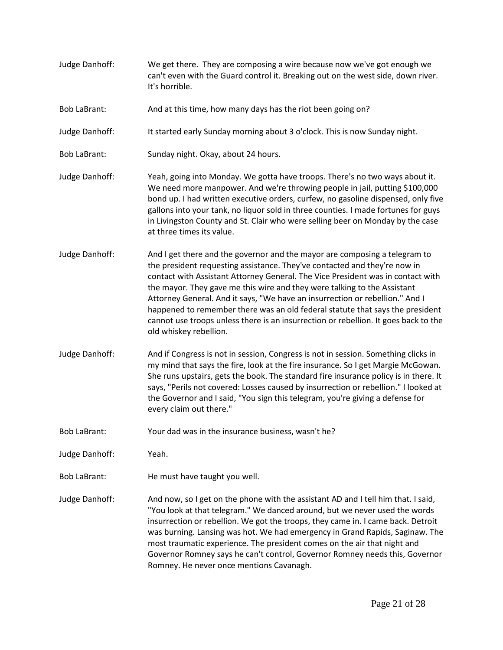- Judge Danhoff: We get there. They are composing a wire because now we've got enough we can't even with the Guard control it. Breaking out on the west side, down river. It's horrible.
- Bob LaBrant: And at this time, how many days has the riot been going on?
- Judge Danhoff: It started early Sunday morning about 3 o'clock. This is now Sunday night.
- Bob LaBrant: Sunday night. Okay, about 24 hours.
- Judge Danhoff: Yeah, going into Monday. We gotta have troops. There's no two ways about it. We need more manpower. And we're throwing people in jail, putting \$100,000 bond up. I had written executive orders, curfew, no gasoline dispensed, only five gallons into your tank, no liquor sold in three counties. I made fortunes for guys in Livingston County and St. Clair who were selling beer on Monday by the case at three times its value.
- Judge Danhoff: And I get there and the governor and the mayor are composing a telegram to the president requesting assistance. They've contacted and they're now in contact with Assistant Attorney General. The Vice President was in contact with the mayor. They gave me this wire and they were talking to the Assistant Attorney General. And it says, "We have an insurrection or rebellion." And I happened to remember there was an old federal statute that says the president cannot use troops unless there is an insurrection or rebellion. It goes back to the old whiskey rebellion.
- Judge Danhoff: And if Congress is not in session, Congress is not in session. Something clicks in my mind that says the fire, look at the fire insurance. So I get Margie McGowan. She runs upstairs, gets the book. The standard fire insurance policy is in there. It says, "Perils not covered: Losses caused by insurrection or rebellion." I looked at the Governor and I said, "You sign this telegram, you're giving a defense for every claim out there."
- Bob LaBrant: Your dad was in the insurance business, wasn't he?
- Judge Danhoff: Yeah.
- Bob LaBrant: He must have taught you well.
- Judge Danhoff: And now, so I get on the phone with the assistant AD and I tell him that. I said, "You look at that telegram." We danced around, but we never used the words insurrection or rebellion. We got the troops, they came in. I came back. Detroit was burning. Lansing was hot. We had emergency in Grand Rapids, Saginaw. The most traumatic experience. The president comes on the air that night and Governor Romney says he can't control, Governor Romney needs this, Governor Romney. He never once mentions Cavanagh.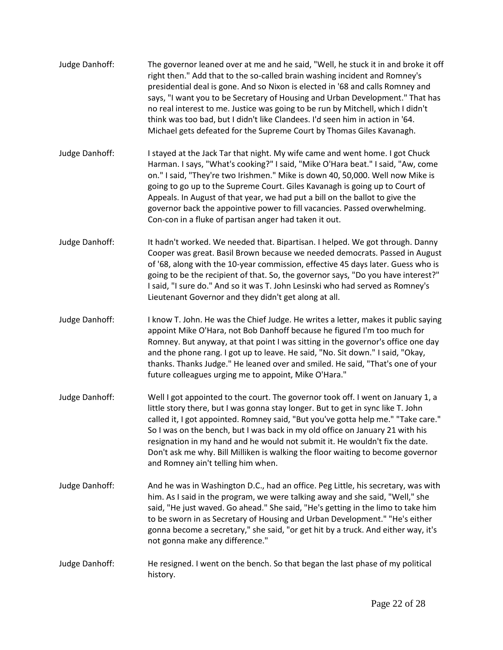| Judge Danhoff: | The governor leaned over at me and he said, "Well, he stuck it in and broke it off<br>right then." Add that to the so-called brain washing incident and Romney's<br>presidential deal is gone. And so Nixon is elected in '68 and calls Romney and<br>says, "I want you to be Secretary of Housing and Urban Development." That has<br>no real interest to me. Justice was going to be run by Mitchell, which I didn't<br>think was too bad, but I didn't like Clandees. I'd seen him in action in '64.<br>Michael gets defeated for the Supreme Court by Thomas Giles Kavanagh. |
|----------------|----------------------------------------------------------------------------------------------------------------------------------------------------------------------------------------------------------------------------------------------------------------------------------------------------------------------------------------------------------------------------------------------------------------------------------------------------------------------------------------------------------------------------------------------------------------------------------|
| Judge Danhoff: | I stayed at the Jack Tar that night. My wife came and went home. I got Chuck<br>Harman. I says, "What's cooking?" I said, "Mike O'Hara beat." I said, "Aw, come<br>on." I said, "They're two Irishmen." Mike is down 40, 50,000. Well now Mike is<br>going to go up to the Supreme Court. Giles Kavanagh is going up to Court of<br>Appeals. In August of that year, we had put a bill on the ballot to give the<br>governor back the appointive power to fill vacancies. Passed overwhelming.<br>Con-con in a fluke of partisan anger had taken it out.                         |
| Judge Danhoff: | It hadn't worked. We needed that. Bipartisan. I helped. We got through. Danny<br>Cooper was great. Basil Brown because we needed democrats. Passed in August<br>of '68, along with the 10-year commission, effective 45 days later. Guess who is<br>going to be the recipient of that. So, the governor says, "Do you have interest?"<br>I said, "I sure do." And so it was T. John Lesinski who had served as Romney's<br>Lieutenant Governor and they didn't get along at all.                                                                                                 |
| Judge Danhoff: | I know T. John. He was the Chief Judge. He writes a letter, makes it public saying<br>appoint Mike O'Hara, not Bob Danhoff because he figured I'm too much for<br>Romney. But anyway, at that point I was sitting in the governor's office one day<br>and the phone rang. I got up to leave. He said, "No. Sit down." I said, "Okay,<br>thanks. Thanks Judge." He leaned over and smiled. He said, "That's one of your<br>future colleagues urging me to appoint, Mike O'Hara."                                                                                                  |
| Judge Danhoff: | Well I got appointed to the court. The governor took off. I went on January 1, a<br>little story there, but I was gonna stay longer. But to get in sync like T. John<br>called it, I got appointed. Romney said, "But you've gotta help me." "Take care."<br>So I was on the bench, but I was back in my old office on January 21 with his<br>resignation in my hand and he would not submit it. He wouldn't fix the date.<br>Don't ask me why. Bill Milliken is walking the floor waiting to become governor<br>and Romney ain't telling him when.                              |
| Judge Danhoff: | And he was in Washington D.C., had an office. Peg Little, his secretary, was with<br>him. As I said in the program, we were talking away and she said, "Well," she<br>said, "He just waved. Go ahead." She said, "He's getting in the limo to take him<br>to be sworn in as Secretary of Housing and Urban Development." "He's either<br>gonna become a secretary," she said, "or get hit by a truck. And either way, it's<br>not gonna make any difference."                                                                                                                    |
| Judge Danhoff: | He resigned. I went on the bench. So that began the last phase of my political<br>history.                                                                                                                                                                                                                                                                                                                                                                                                                                                                                       |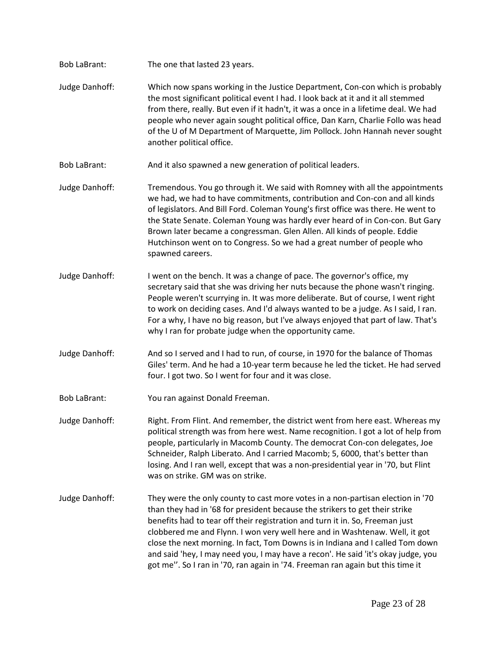- Bob LaBrant: The one that lasted 23 years.
- Judge Danhoff: Which now spans working in the Justice Department, Con-con which is probably the most significant political event I had. I look back at it and it all stemmed from there, really. But even if it hadn't, it was a once in a lifetime deal. We had people who never again sought political office, Dan Karn, Charlie Follo was head of the U of M Department of Marquette, Jim Pollock. John Hannah never sought another political office.
- Bob LaBrant: And it also spawned a new generation of political leaders.
- Judge Danhoff: Tremendous. You go through it. We said with Romney with all the appointments we had, we had to have commitments, contribution and Con-con and all kinds of legislators. And Bill Ford. Coleman Young's first office was there. He went to the State Senate. Coleman Young was hardly ever heard of in Con-con. But Gary Brown later became a congressman. Glen Allen. All kinds of people. Eddie Hutchinson went on to Congress. So we had a great number of people who spawned careers.
- Judge Danhoff: I went on the bench. It was a change of pace. The governor's office, my secretary said that she was driving her nuts because the phone wasn't ringing. People weren't scurrying in. It was more deliberate. But of course, I went right to work on deciding cases. And I'd always wanted to be a judge. As I said, I ran. For a why, I have no big reason, but I've always enjoyed that part of law. That's why I ran for probate judge when the opportunity came.
- Judge Danhoff: And so I served and I had to run, of course, in 1970 for the balance of Thomas Giles' term. And he had a 10-year term because he led the ticket. He had served four. I got two. So I went for four and it was close.
- Bob LaBrant: You ran against Donald Freeman.
- Judge Danhoff: Right. From Flint. And remember, the district went from here east. Whereas my political strength was from here west. Name recognition. I got a lot of help from people, particularly in Macomb County. The democrat Con-con delegates, Joe Schneider, Ralph Liberato. And I carried Macomb; 5, 6000, that's better than losing. And I ran well, except that was a non-presidential year in '70, but Flint was on strike. GM was on strike.
- Judge Danhoff: They were the only county to cast more votes in a non-partisan election in '70 than they had in '68 for president because the strikers to get their strike benefits had to tear off their registration and turn it in. So, Freeman just clobbered me and Flynn. I won very well here and in Washtenaw. Well, it got close the next morning. In fact, Tom Downs is in Indiana and I called Tom down and said 'hey, I may need you, I may have a recon'. He said 'it's okay judge, you got me''. So I ran in '70, ran again in '74. Freeman ran again but this time it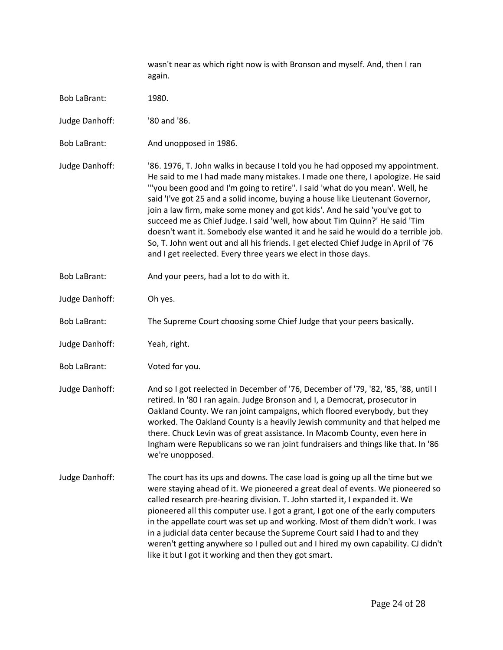wasn't near as which right now is with Bronson and myself. And, then I ran again.

- Bob LaBrant: 1980.
- Judge Danhoff: '80 and '86.
- Bob LaBrant: And unopposed in 1986.

Judge Danhoff: '86. 1976, T. John walks in because I told you he had opposed my appointment. He said to me I had made many mistakes. I made one there, I apologize. He said '"you been good and I'm going to retire". I said 'what do you mean'. Well, he said 'I've got 25 and a solid income, buying a house like Lieutenant Governor, join a law firm, make some money and got kids'. And he said 'you've got to succeed me as Chief Judge. I said 'well, how about Tim Quinn?' He said 'Tim doesn't want it. Somebody else wanted it and he said he would do a terrible job. So, T. John went out and all his friends. I get elected Chief Judge in April of '76 and I get reelected. Every three years we elect in those days.

- Bob LaBrant: And your peers, had a lot to do with it.
- Judge Danhoff: Oh yes.
- Bob LaBrant: The Supreme Court choosing some Chief Judge that your peers basically.
- Judge Danhoff: Yeah, right.
- Bob LaBrant: Voted for you.
- Judge Danhoff: And so I got reelected in December of '76, December of '79, '82, '85, '88, until I retired. In '80 I ran again. Judge Bronson and I, a Democrat, prosecutor in Oakland County. We ran joint campaigns, which floored everybody, but they worked. The Oakland County is a heavily Jewish community and that helped me there. Chuck Levin was of great assistance. In Macomb County, even here in Ingham were Republicans so we ran joint fundraisers and things like that. In '86 we're unopposed.
- Judge Danhoff: The court has its ups and downs. The case load is going up all the time but we were staying ahead of it. We pioneered a great deal of events. We pioneered so called research pre-hearing division. T. John started it, I expanded it. We pioneered all this computer use. I got a grant, I got one of the early computers in the appellate court was set up and working. Most of them didn't work. I was in a judicial data center because the Supreme Court said I had to and they weren't getting anywhere so I pulled out and I hired my own capability. CJ didn't like it but I got it working and then they got smart.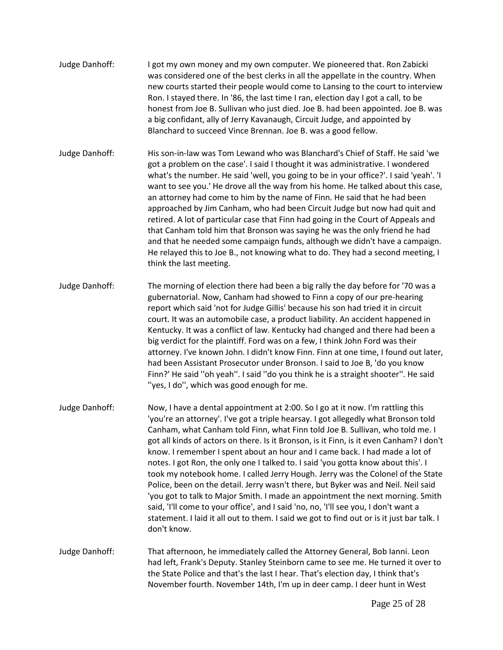- Judge Danhoff: I got my own money and my own computer. We pioneered that. Ron Zabicki was considered one of the best clerks in all the appellate in the country. When new courts started their people would come to Lansing to the court to interview Ron. I stayed there. In '86, the last time I ran, election day I got a call, to be honest from Joe B. Sullivan who just died. Joe B. had been appointed. Joe B. was a big confidant, ally of Jerry Kavanaugh, Circuit Judge, and appointed by Blanchard to succeed Vince Brennan. Joe B. was a good fellow.
- Judge Danhoff: His son-in-law was Tom Lewand who was Blanchard's Chief of Staff. He said 'we got a problem on the case'. I said I thought it was administrative. I wondered what's the number. He said 'well, you going to be in your office?'. I said 'yeah'. 'I want to see you.' He drove all the way from his home. He talked about this case, an attorney had come to him by the name of Finn. He said that he had been approached by Jim Canham, who had been Circuit Judge but now had quit and retired. A lot of particular case that Finn had going in the Court of Appeals and that Canham told him that Bronson was saying he was the only friend he had and that he needed some campaign funds, although we didn't have a campaign. He relayed this to Joe B., not knowing what to do. They had a second meeting, I think the last meeting.
- Judge Danhoff: The morning of election there had been a big rally the day before for '70 was a gubernatorial. Now, Canham had showed to Finn a copy of our pre-hearing report which said 'not for Judge Gillis' because his son had tried it in circuit court. It was an automobile case, a product liability. An accident happened in Kentucky. It was a conflict of law. Kentucky had changed and there had been a big verdict for the plaintiff. Ford was on a few, I think John Ford was their attorney. I've known John. I didn't know Finn. Finn at one time, I found out later, had been Assistant Prosecutor under Bronson. I said to Joe B, 'do you know Finn?' He said ''oh yeah''. I said ''do you think he is a straight shooter''. He said ''yes, I do'', which was good enough for me.
- Judge Danhoff: Now, I have a dental appointment at 2:00. So I go at it now. I'm rattling this 'you're an attorney'. I've got a triple hearsay. I got allegedly what Bronson told Canham, what Canham told Finn, what Finn told Joe B. Sullivan, who told me. I got all kinds of actors on there. Is it Bronson, is it Finn, is it even Canham? I don't know. I remember I spent about an hour and I came back. I had made a lot of notes. I got Ron, the only one I talked to. I said 'you gotta know about this'. I took my notebook home. I called Jerry Hough. Jerry was the Colonel of the State Police, been on the detail. Jerry wasn't there, but Byker was and Neil. Neil said 'you got to talk to Major Smith. I made an appointment the next morning. Smith said, 'I'll come to your office', and I said 'no, no, 'I'll see you, I don't want a statement. I laid it all out to them. I said we got to find out or is it just bar talk. I don't know.
- Judge Danhoff: That afternoon, he immediately called the Attorney General, Bob Ianni. Leon had left, Frank's Deputy. Stanley Steinborn came to see me. He turned it over to the State Police and that's the last I hear. That's election day, I think that's November fourth. November 14th, I'm up in deer camp. I deer hunt in West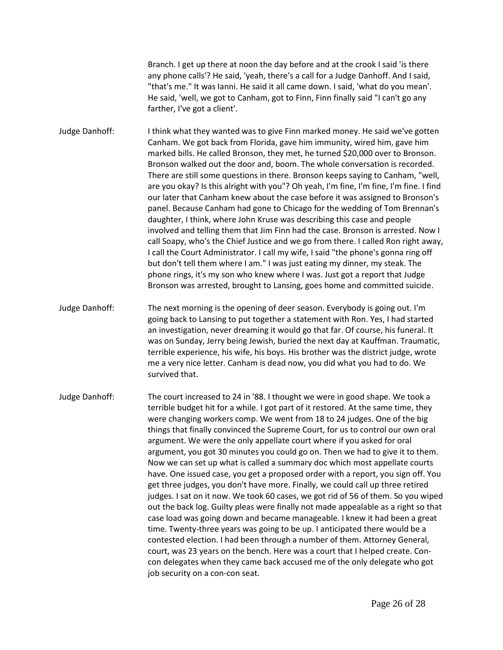Branch. I get up there at noon the day before and at the crook I said 'is there any phone calls'? He said, 'yeah, there's a call for a Judge Danhoff. And I said, "that's me." It was Ianni. He said it all came down. I said, 'what do you mean'. He said, 'well, we got to Canham, got to Finn, Finn finally said "I can't go any farther, I've got a client'.

Judge Danhoff: I think what they wanted was to give Finn marked money. He said we've gotten Canham. We got back from Florida, gave him immunity, wired him, gave him marked bills. He called Bronson, they met, he turned \$20,000 over to Bronson. Bronson walked out the door and, boom. The whole conversation is recorded. There are still some questions in there. Bronson keeps saying to Canham, "well, are you okay? Is this alright with you"? Oh yeah, I'm fine, I'm fine, I'm fine. I find our later that Canham knew about the case before it was assigned to Bronson's panel. Because Canham had gone to Chicago for the wedding of Tom Brennan's daughter, I think, where John Kruse was describing this case and people involved and telling them that Jim Finn had the case. Bronson is arrested. Now I call Soapy, who's the Chief Justice and we go from there. I called Ron right away, I call the Court Administrator. I call my wife, I said "the phone's gonna ring off but don't tell them where I am." I was just eating my dinner, my steak. The phone rings, it's my son who knew where I was. Just got a report that Judge Bronson was arrested, brought to Lansing, goes home and committed suicide.

- Judge Danhoff: The next morning is the opening of deer season. Everybody is going out. I'm going back to Lansing to put together a statement with Ron. Yes, I had started an investigation, never dreaming it would go that far. Of course, his funeral. It was on Sunday, Jerry being Jewish, buried the next day at Kauffman. Traumatic, terrible experience, his wife, his boys. His brother was the district judge, wrote me a very nice letter. Canham is dead now, you did what you had to do. We survived that.
- Judge Danhoff: The court increased to 24 in '88. I thought we were in good shape. We took a terrible budget hit for a while. I got part of it restored. At the same time, they were changing workers comp. We went from 18 to 24 judges. One of the big things that finally convinced the Supreme Court, for us to control our own oral argument. We were the only appellate court where if you asked for oral argument, you got 30 minutes you could go on. Then we had to give it to them. Now we can set up what is called a summary doc which most appellate courts have. One issued case, you get a proposed order with a report, you sign off. You get three judges, you don't have more. Finally, we could call up three retired judges. I sat on it now. We took 60 cases, we got rid of 56 of them. So you wiped out the back log. Guilty pleas were finally not made appealable as a right so that case load was going down and became manageable. I knew it had been a great time. Twenty-three years was going to be up. I anticipated there would be a contested election. I had been through a number of them. Attorney General, court, was 23 years on the bench. Here was a court that I helped create. Concon delegates when they came back accused me of the only delegate who got job security on a con-con seat.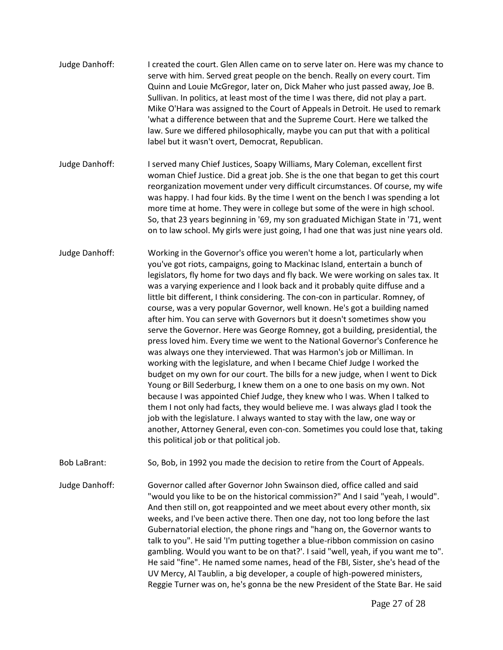- Judge Danhoff: I created the court. Glen Allen came on to serve later on. Here was my chance to serve with him. Served great people on the bench. Really on every court. Tim Quinn and Louie McGregor, later on, Dick Maher who just passed away, Joe B. Sullivan. In politics, at least most of the time I was there, did not play a part. Mike O'Hara was assigned to the Court of Appeals in Detroit. He used to remark 'what a difference between that and the Supreme Court. Here we talked the law. Sure we differed philosophically, maybe you can put that with a political label but it wasn't overt, Democrat, Republican.
- Judge Danhoff: I served many Chief Justices, Soapy Williams, Mary Coleman, excellent first woman Chief Justice. Did a great job. She is the one that began to get this court reorganization movement under very difficult circumstances. Of course, my wife was happy. I had four kids. By the time I went on the bench I was spending a lot more time at home. They were in college but some of the were in high school. So, that 23 years beginning in '69, my son graduated Michigan State in '71, went on to law school. My girls were just going, I had one that was just nine years old.
- Judge Danhoff: Working in the Governor's office you weren't home a lot, particularly when you've got riots, campaigns, going to Mackinac Island, entertain a bunch of legislators, fly home for two days and fly back. We were working on sales tax. It was a varying experience and I look back and it probably quite diffuse and a little bit different, I think considering. The con-con in particular. Romney, of course, was a very popular Governor, well known. He's got a building named after him. You can serve with Governors but it doesn't sometimes show you serve the Governor. Here was George Romney, got a building, presidential, the press loved him. Every time we went to the National Governor's Conference he was always one they interviewed. That was Harmon's job or Milliman. In working with the legislature, and when I became Chief Judge I worked the budget on my own for our court. The bills for a new judge, when I went to Dick Young or Bill Sederburg, I knew them on a one to one basis on my own. Not because I was appointed Chief Judge, they knew who I was. When I talked to them I not only had facts, they would believe me. I was always glad I took the job with the legislature. I always wanted to stay with the law, one way or another, Attorney General, even con-con. Sometimes you could lose that, taking this political job or that political job.
- Bob LaBrant: So, Bob, in 1992 you made the decision to retire from the Court of Appeals.

Judge Danhoff: Governor called after Governor John Swainson died, office called and said "would you like to be on the historical commission?" And I said "yeah, I would". And then still on, got reappointed and we meet about every other month, six weeks, and I've been active there. Then one day, not too long before the last Gubernatorial election, the phone rings and "hang on, the Governor wants to talk to you". He said 'I'm putting together a blue-ribbon commission on casino gambling. Would you want to be on that?'. I said "well, yeah, if you want me to". He said "fine". He named some names, head of the FBI, Sister, she's head of the UV Mercy, Al Taublin, a big developer, a couple of high-powered ministers, Reggie Turner was on, he's gonna be the new President of the State Bar. He said